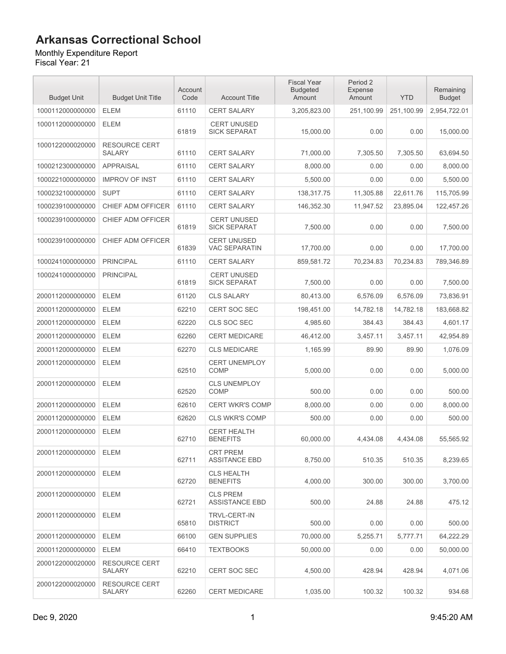Monthly Expenditure Report

| <b>Budget Unit</b> | <b>Budget Unit Title</b>              | Account<br>Code | <b>Account Title</b>                       | <b>Fiscal Year</b><br><b>Budgeted</b><br>Amount | Period 2<br>Expense<br>Amount | <b>YTD</b> | Remaining<br><b>Budget</b> |
|--------------------|---------------------------------------|-----------------|--------------------------------------------|-------------------------------------------------|-------------------------------|------------|----------------------------|
| 1000112000000000   | <b>ELEM</b>                           | 61110           | <b>CERT SALARY</b>                         | 3,205,823.00                                    | 251,100.99                    | 251,100.99 | 2,954,722.01               |
| 1000112000000000   | <b>ELEM</b>                           | 61819           | <b>CERT UNUSED</b><br><b>SICK SEPARAT</b>  | 15,000.00                                       | 0.00                          | 0.00       | 15,000.00                  |
| 1000122000020000   | <b>RESOURCE CERT</b><br><b>SALARY</b> | 61110           | <b>CERT SALARY</b>                         | 71,000.00                                       | 7,305.50                      | 7,305.50   | 63,694.50                  |
| 1000212300000000   | <b>APPRAISAL</b>                      | 61110           | <b>CERT SALARY</b>                         | 8,000.00                                        | 0.00                          | 0.00       | 8,000.00                   |
| 1000221000000000   | <b>IMPROV OF INST</b>                 | 61110           | <b>CERT SALARY</b>                         | 5,500.00                                        | 0.00                          | 0.00       | 5,500.00                   |
| 1000232100000000   | <b>SUPT</b>                           | 61110           | <b>CERT SALARY</b>                         | 138,317.75                                      | 11,305.88                     | 22,611.76  | 115,705.99                 |
| 1000239100000000   | CHIEF ADM OFFICER                     | 61110           | <b>CERT SALARY</b>                         | 146,352.30                                      | 11,947.52                     | 23,895.04  | 122,457.26                 |
| 1000239100000000   | CHIEF ADM OFFICER                     | 61819           | <b>CERT UNUSED</b><br><b>SICK SEPARAT</b>  | 7,500.00                                        | 0.00                          | 0.00       | 7,500.00                   |
| 1000239100000000   | CHIEF ADM OFFICER                     | 61839           | <b>CERT UNUSED</b><br><b>VAC SEPARATIN</b> | 17,700.00                                       | 0.00                          | 0.00       | 17,700.00                  |
| 1000241000000000   | <b>PRINCIPAL</b>                      | 61110           | <b>CERT SALARY</b>                         | 859,581.72                                      | 70,234.83                     | 70.234.83  | 789,346.89                 |
| 1000241000000000   | <b>PRINCIPAL</b>                      | 61819           | <b>CERT UNUSED</b><br><b>SICK SEPARAT</b>  | 7,500.00                                        | 0.00                          | 0.00       | 7.500.00                   |
| 2000112000000000   | <b>ELEM</b>                           | 61120           | <b>CLS SALARY</b>                          | 80,413.00                                       | 6,576.09                      | 6,576.09   | 73,836.91                  |
| 2000112000000000   | <b>ELEM</b>                           | 62210           | <b>CERT SOC SEC</b>                        | 198,451.00                                      | 14,782.18                     | 14,782.18  | 183,668.82                 |
| 2000112000000000   | <b>ELEM</b>                           | 62220           | CLS SOC SEC                                | 4,985.60                                        | 384.43                        | 384.43     | 4,601.17                   |
| 2000112000000000   | <b>ELEM</b>                           | 62260           | <b>CERT MEDICARE</b>                       | 46,412.00                                       | 3,457.11                      | 3,457.11   | 42,954.89                  |
| 2000112000000000   | <b>ELEM</b>                           | 62270           | <b>CLS MEDICARE</b>                        | 1,165.99                                        | 89.90                         | 89.90      | 1,076.09                   |
| 2000112000000000   | <b>ELEM</b>                           | 62510           | <b>CERT UNEMPLOY</b><br>COMP               | 5,000.00                                        | 0.00                          | 0.00       | 5,000.00                   |
| 2000112000000000   | <b>ELEM</b>                           | 62520           | <b>CLS UNEMPLOY</b><br>COMP                | 500.00                                          | 0.00                          | 0.00       | 500.00                     |
| 2000112000000000   | <b>ELEM</b>                           | 62610           | <b>CERT WKR'S COMP</b>                     | 8,000.00                                        | 0.00                          | 0.00       | 8.000.00                   |
| 2000112000000000   | <b>ELEM</b>                           | 62620           | <b>CLS WKR'S COMP</b>                      | 500.00                                          | 0.00                          | 0.00       | 500.00                     |
| 2000112000000000   | <b>ELEM</b>                           | 62710           | <b>CERT HEALTH</b><br><b>BENEFITS</b>      | 60,000.00                                       | 4,434.08                      | 4,434.08   | 55,565.92                  |
| 2000112000000000   | <b>ELEM</b>                           | 62711           | <b>CRT PREM</b><br><b>ASSITANCE EBD</b>    | 8,750.00                                        | 510.35                        | 510.35     | 8.239.65                   |
| 2000112000000000   | <b>ELEM</b>                           | 62720           | <b>CLS HEALTH</b><br><b>BENEFITS</b>       | 4,000.00                                        | 300.00                        | 300.00     | 3,700.00                   |
| 2000112000000000   | <b>ELEM</b>                           | 62721           | <b>CLS PREM</b><br><b>ASSISTANCE EBD</b>   | 500.00                                          | 24.88                         | 24.88      | 475.12                     |
| 2000112000000000   | <b>ELEM</b>                           | 65810           | <b>TRVL-CERT-IN</b><br><b>DISTRICT</b>     | 500.00                                          | 0.00                          | 0.00       | 500.00                     |
| 2000112000000000   | ELEM                                  | 66100           | <b>GEN SUPPLIES</b>                        | 70,000.00                                       | 5,255.71                      | 5,777.71   | 64,222.29                  |
| 2000112000000000   | <b>ELEM</b>                           | 66410           | <b>TEXTBOOKS</b>                           | 50,000.00                                       | 0.00                          | 0.00       | 50,000.00                  |
| 2000122000020000   | <b>RESOURCE CERT</b><br><b>SALARY</b> | 62210           | CERT SOC SEC                               | 4,500.00                                        | 428.94                        | 428.94     | 4,071.06                   |
| 2000122000020000   | <b>RESOURCE CERT</b><br><b>SALARY</b> | 62260           | <b>CERT MEDICARE</b>                       | 1,035.00                                        | 100.32                        | 100.32     | 934.68                     |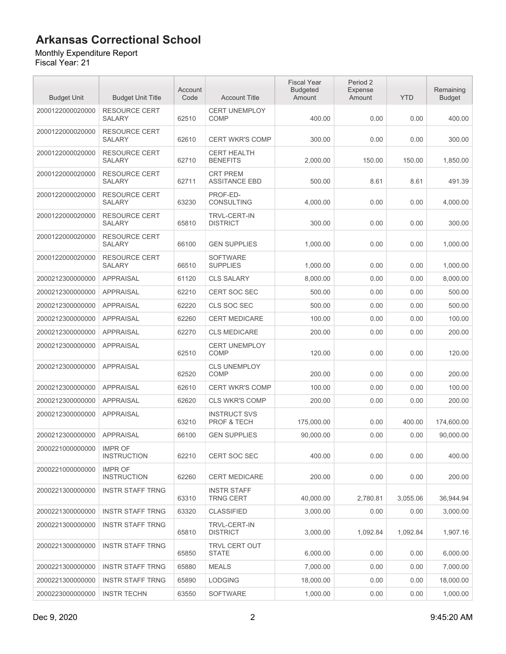#### Monthly Expenditure Report

| <b>Budget Unit</b> | <b>Budget Unit Title</b>              | Account<br>Code | <b>Account Title</b>                          | <b>Fiscal Year</b><br><b>Budgeted</b><br>Amount | Period 2<br>Expense<br>Amount | <b>YTD</b> | Remaining<br><b>Budget</b> |
|--------------------|---------------------------------------|-----------------|-----------------------------------------------|-------------------------------------------------|-------------------------------|------------|----------------------------|
| 2000122000020000   | <b>RESOURCE CERT</b><br><b>SALARY</b> | 62510           | <b>CERT UNEMPLOY</b><br><b>COMP</b>           | 400.00                                          | 0.00                          | 0.00       | 400.00                     |
| 2000122000020000   | <b>RESOURCE CERT</b><br><b>SALARY</b> | 62610           | <b>CERT WKR'S COMP</b>                        | 300.00                                          | 0.00                          | 0.00       | 300.00                     |
| 2000122000020000   | <b>RESOURCE CERT</b><br><b>SALARY</b> | 62710           | <b>CERT HEALTH</b><br><b>BENEFITS</b>         | 2,000.00                                        | 150.00                        | 150.00     | 1,850.00                   |
| 2000122000020000   | <b>RESOURCE CERT</b><br><b>SALARY</b> | 62711           | <b>CRT PREM</b><br><b>ASSITANCE EBD</b>       | 500.00                                          | 8.61                          | 8.61       | 491.39                     |
| 2000122000020000   | <b>RESOURCE CERT</b><br><b>SALARY</b> | 63230           | PROF-ED-<br>CONSULTING                        | 4,000.00                                        | 0.00                          | 0.00       | 4,000.00                   |
| 2000122000020000   | <b>RESOURCE CERT</b><br><b>SALARY</b> | 65810           | <b>TRVL-CERT-IN</b><br><b>DISTRICT</b>        | 300.00                                          | 0.00                          | 0.00       | 300.00                     |
| 2000122000020000   | <b>RESOURCE CERT</b><br><b>SALARY</b> | 66100           | <b>GEN SUPPLIES</b>                           | 1,000.00                                        | 0.00                          | 0.00       | 1,000.00                   |
| 2000122000020000   | <b>RESOURCE CERT</b><br><b>SALARY</b> | 66510           | <b>SOFTWARE</b><br><b>SUPPLIES</b>            | 1,000.00                                        | 0.00                          | 0.00       | 1,000.00                   |
| 2000212300000000   | <b>APPRAISAL</b>                      | 61120           | <b>CLS SALARY</b>                             | 8,000.00                                        | 0.00                          | 0.00       | 8.000.00                   |
| 2000212300000000   | <b>APPRAISAL</b>                      | 62210           | CERT SOC SEC                                  | 500.00                                          | 0.00                          | 0.00       | 500.00                     |
| 2000212300000000   | <b>APPRAISAL</b>                      | 62220           | CLS SOC SEC                                   | 500.00                                          | 0.00                          | 0.00       | 500.00                     |
| 2000212300000000   | <b>APPRAISAL</b>                      | 62260           | <b>CERT MEDICARE</b>                          | 100.00                                          | 0.00                          | 0.00       | 100.00                     |
| 2000212300000000   | <b>APPRAISAL</b>                      | 62270           | <b>CLS MEDICARE</b>                           | 200.00                                          | 0.00                          | 0.00       | 200.00                     |
| 2000212300000000   | <b>APPRAISAL</b>                      | 62510           | <b>CERT UNEMPLOY</b><br><b>COMP</b>           | 120.00                                          | 0.00                          | 0.00       | 120.00                     |
| 2000212300000000   | <b>APPRAISAL</b>                      | 62520           | <b>CLS UNEMPLOY</b><br>COMP                   | 200.00                                          | 0.00                          | 0.00       | 200.00                     |
| 2000212300000000   | <b>APPRAISAL</b>                      | 62610           | <b>CERT WKR'S COMP</b>                        | 100.00                                          | 0.00                          | 0.00       | 100.00                     |
| 2000212300000000   | <b>APPRAISAL</b>                      | 62620           | <b>CLS WKR'S COMP</b>                         | 200.00                                          | 0.00                          | 0.00       | 200.00                     |
| 2000212300000000   | <b>APPRAISAL</b>                      | 63210           | <b>INSTRUCT SVS</b><br><b>PROF &amp; TECH</b> | 175,000.00                                      | 0.00                          | 400.00     | 174,600.00                 |
| 2000212300000000   | <b>APPRAISAL</b>                      | 66100           | <b>GEN SUPPLIES</b>                           | 90,000.00                                       | 0.00                          | 0.00       | 90,000.00                  |
| 2000221000000000   | <b>IMPR OF</b><br><b>INSTRUCTION</b>  | 62210           | CERT SOC SEC                                  | 400.00                                          | 0.00                          | 0.00       | 400.00                     |
| 2000221000000000   | <b>IMPR OF</b><br><b>INSTRUCTION</b>  | 62260           | <b>CERT MEDICARE</b>                          | 200.00                                          | 0.00                          | 0.00       | 200.00                     |
| 2000221300000000   | <b>INSTR STAFF TRNG</b>               | 63310           | <b>INSTR STAFF</b><br><b>TRNG CERT</b>        | 40,000.00                                       | 2,780.81                      | 3,055.06   | 36,944.94                  |
| 2000221300000000   | <b>INSTR STAFF TRNG</b>               | 63320           | <b>CLASSIFIED</b>                             | 3,000.00                                        | 0.00                          | 0.00       | 3,000.00                   |
| 2000221300000000   | <b>INSTR STAFF TRNG</b>               | 65810           | <b>TRVL-CERT-IN</b><br><b>DISTRICT</b>        | 3,000.00                                        | 1,092.84                      | 1,092.84   | 1,907.16                   |
| 2000221300000000   | <b>INSTR STAFF TRNG</b>               | 65850           | <b>TRVL CERT OUT</b><br><b>STATE</b>          | 6.000.00                                        | 0.00                          | 0.00       | 6,000.00                   |
| 2000221300000000   | <b>INSTR STAFF TRNG</b>               | 65880           | <b>MEALS</b>                                  | 7,000.00                                        | 0.00                          | 0.00       | 7,000.00                   |
| 2000221300000000   | <b>INSTR STAFF TRNG</b>               | 65890           | <b>LODGING</b>                                | 18,000.00                                       | 0.00                          | 0.00       | 18,000.00                  |
| 2000223000000000   | <b>INSTR TECHN</b>                    | 63550           | <b>SOFTWARE</b>                               | 1,000.00                                        | 0.00                          | 0.00       | 1,000.00                   |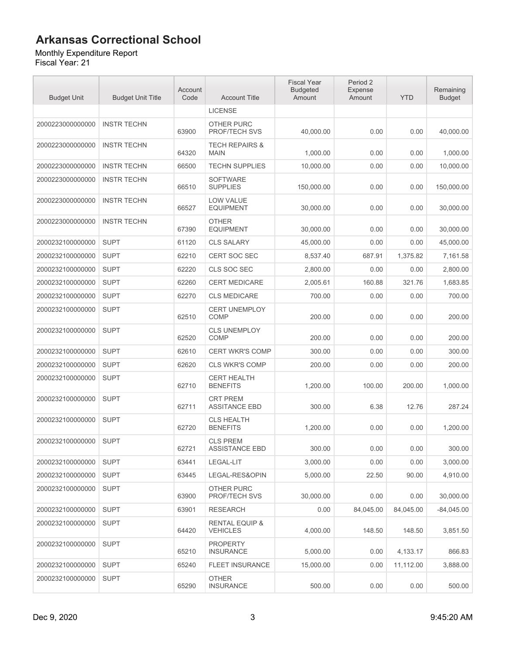#### Monthly Expenditure Report

| <b>Budget Unit</b> | <b>Budget Unit Title</b> | Account<br>Code | <b>Account Title</b>                         | <b>Fiscal Year</b><br><b>Budgeted</b><br>Amount | Period 2<br>Expense<br>Amount | <b>YTD</b> | Remaining<br><b>Budget</b> |
|--------------------|--------------------------|-----------------|----------------------------------------------|-------------------------------------------------|-------------------------------|------------|----------------------------|
|                    |                          |                 | <b>LICENSE</b>                               |                                                 |                               |            |                            |
| 2000223000000000   | <b>INSTR TECHN</b>       | 63900           | OTHER PURC<br>PROF/TECH SVS                  | 40,000.00                                       | 0.00                          | 0.00       | 40,000.00                  |
| 2000223000000000   | <b>INSTR TECHN</b>       | 64320           | <b>TECH REPAIRS &amp;</b><br><b>MAIN</b>     | 1,000.00                                        | 0.00                          | 0.00       | 1,000.00                   |
| 2000223000000000   | <b>INSTR TECHN</b>       | 66500           | <b>TECHN SUPPLIES</b>                        | 10,000.00                                       | 0.00                          | 0.00       | 10,000.00                  |
| 2000223000000000   | <b>INSTR TECHN</b>       | 66510           | <b>SOFTWARE</b><br><b>SUPPLIES</b>           | 150,000.00                                      | 0.00                          | 0.00       | 150,000.00                 |
| 2000223000000000   | <b>INSTR TECHN</b>       | 66527           | <b>LOW VALUE</b><br><b>EQUIPMENT</b>         | 30,000.00                                       | 0.00                          | 0.00       | 30,000.00                  |
| 2000223000000000   | <b>INSTR TECHN</b>       | 67390           | <b>OTHER</b><br><b>EQUIPMENT</b>             | 30,000.00                                       | 0.00                          | 0.00       | 30,000.00                  |
| 2000232100000000   | <b>SUPT</b>              | 61120           | <b>CLS SALARY</b>                            | 45,000.00                                       | 0.00                          | 0.00       | 45.000.00                  |
| 2000232100000000   | <b>SUPT</b>              | 62210           | <b>CERT SOC SEC</b>                          | 8,537.40                                        | 687.91                        | 1,375.82   | 7,161.58                   |
| 2000232100000000   | <b>SUPT</b>              | 62220           | CLS SOC SEC                                  | 2,800.00                                        | 0.00                          | 0.00       | 2,800.00                   |
| 2000232100000000   | <b>SUPT</b>              | 62260           | <b>CERT MEDICARE</b>                         | 2,005.61                                        | 160.88                        | 321.76     | 1,683.85                   |
| 2000232100000000   | <b>SUPT</b>              | 62270           | <b>CLS MEDICARE</b>                          | 700.00                                          | 0.00                          | 0.00       | 700.00                     |
| 2000232100000000   | <b>SUPT</b>              | 62510           | <b>CERT UNEMPLOY</b><br><b>COMP</b>          | 200.00                                          | 0.00                          | 0.00       | 200.00                     |
| 2000232100000000   | <b>SUPT</b>              | 62520           | <b>CLS UNEMPLOY</b><br><b>COMP</b>           | 200.00                                          | 0.00                          | 0.00       | 200.00                     |
| 2000232100000000   | <b>SUPT</b>              | 62610           | <b>CERT WKR'S COMP</b>                       | 300.00                                          | 0.00                          | 0.00       | 300.00                     |
| 2000232100000000   | <b>SUPT</b>              | 62620           | <b>CLS WKR'S COMP</b>                        | 200.00                                          | 0.00                          | 0.00       | 200.00                     |
| 2000232100000000   | <b>SUPT</b>              | 62710           | <b>CERT HEALTH</b><br><b>BENEFITS</b>        | 1,200.00                                        | 100.00                        | 200.00     | 1,000.00                   |
| 2000232100000000   | <b>SUPT</b>              | 62711           | <b>CRT PREM</b><br><b>ASSITANCE EBD</b>      | 300.00                                          | 6.38                          | 12.76      | 287.24                     |
| 2000232100000000   | <b>SUPT</b>              | 62720           | <b>CLS HEALTH</b><br><b>BENEFITS</b>         | 1,200.00                                        | 0.00                          | 0.00       | 1,200.00                   |
| 2000232100000000   | <b>SUPT</b>              | 62721           | <b>CLS PREM</b><br>ASSISTANCE EBD            | 300.00                                          | 0.00                          | 0.00       | 300.00                     |
| 2000232100000000   | <b>SUPT</b>              | 63441           | LEGAL-LIT                                    | 3,000.00                                        | 0.00                          | 0.00       | 3,000.00                   |
| 2000232100000000   | <b>SUPT</b>              | 63445           | LEGAL-RES&OPIN                               | 5,000.00                                        | 22.50                         | 90.00      | 4,910.00                   |
| 2000232100000000   | <b>SUPT</b>              | 63900           | OTHER PURC<br>PROF/TECH SVS                  | 30.000.00                                       | 0.00                          | 0.00       | 30,000.00                  |
| 2000232100000000   | <b>SUPT</b>              | 63901           | <b>RESEARCH</b>                              | 0.00                                            | 84.045.00                     | 84,045.00  | $-84,045.00$               |
| 2000232100000000   | <b>SUPT</b>              | 64420           | <b>RENTAL EQUIP &amp;</b><br><b>VEHICLES</b> | 4.000.00                                        | 148.50                        | 148.50     | 3,851.50                   |
| 2000232100000000   | <b>SUPT</b>              | 65210           | <b>PROPERTY</b><br><b>INSURANCE</b>          | 5,000.00                                        | 0.00                          | 4,133.17   | 866.83                     |
| 2000232100000000   | <b>SUPT</b>              | 65240           | <b>FLEET INSURANCE</b>                       | 15,000.00                                       | 0.00                          | 11,112.00  | 3,888.00                   |
| 2000232100000000   | <b>SUPT</b>              | 65290           | <b>OTHER</b><br><b>INSURANCE</b>             | 500.00                                          | 0.00                          | 0.00       | 500.00                     |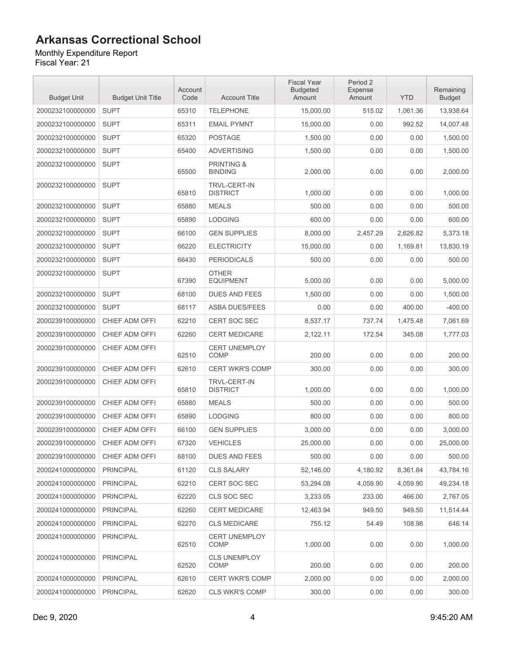Monthly Expenditure Report

| <b>Budget Unit</b> | <b>Budget Unit Title</b> | Account<br>Code | <b>Account Title</b>                    | <b>Fiscal Year</b><br><b>Budgeted</b><br>Amount | Period 2<br>Expense<br>Amount | <b>YTD</b> | Remaining<br><b>Budget</b> |
|--------------------|--------------------------|-----------------|-----------------------------------------|-------------------------------------------------|-------------------------------|------------|----------------------------|
| 2000232100000000   | <b>SUPT</b>              | 65310           | <b>TELEPHONE</b>                        | 15,000.00                                       | 515.02                        | 1,061.36   | 13,938.64                  |
| 2000232100000000   | <b>SUPT</b>              | 65311           | <b>EMAIL PYMNT</b>                      | 15.000.00                                       | 0.00                          | 992.52     | 14.007.48                  |
| 2000232100000000   | <b>SUPT</b>              | 65320           | <b>POSTAGE</b>                          | 1,500.00                                        | 0.00                          | 0.00       | 1,500.00                   |
| 2000232100000000   | <b>SUPT</b>              | 65400           | <b>ADVERTISING</b>                      | 1,500.00                                        | 0.00                          | 0.00       | 1,500.00                   |
| 2000232100000000   | <b>SUPT</b>              | 65500           | <b>PRINTING &amp;</b><br><b>BINDING</b> | 2,000.00                                        | 0.00                          | 0.00       | 2,000.00                   |
| 2000232100000000   | <b>SUPT</b>              | 65810           | <b>TRVL-CERT-IN</b><br><b>DISTRICT</b>  | 1,000.00                                        | 0.00                          | 0.00       | 1,000.00                   |
| 2000232100000000   | <b>SUPT</b>              | 65880           | <b>MEALS</b>                            | 500.00                                          | 0.00                          | 0.00       | 500.00                     |
| 2000232100000000   | <b>SUPT</b>              | 65890           | <b>LODGING</b>                          | 600.00                                          | 0.00                          | 0.00       | 600.00                     |
| 2000232100000000   | <b>SUPT</b>              | 66100           | <b>GEN SUPPLIES</b>                     | 8,000.00                                        | 2,457.29                      | 2,626.82   | 5,373.18                   |
| 2000232100000000   | <b>SUPT</b>              | 66220           | <b>ELECTRICITY</b>                      | 15,000.00                                       | 0.00                          | 1,169.81   | 13,830.19                  |
| 2000232100000000   | <b>SUPT</b>              | 66430           | <b>PERIODICALS</b>                      | 500.00                                          | 0.00                          | 0.00       | 500.00                     |
| 2000232100000000   | <b>SUPT</b>              | 67390           | <b>OTHER</b><br><b>EQUIPMENT</b>        | 5,000.00                                        | 0.00                          | 0.00       | 5,000.00                   |
| 2000232100000000   | <b>SUPT</b>              | 68100           | <b>DUES AND FEES</b>                    | 1,500.00                                        | 0.00                          | 0.00       | 1,500.00                   |
| 2000232100000000   | <b>SUPT</b>              | 68117           | <b>ASBA DUES/FEES</b>                   | 0.00                                            | 0.00                          | 400.00     | $-400.00$                  |
| 2000239100000000   | CHIEF ADM OFFI           | 62210           | <b>CERT SOC SEC</b>                     | 8,537.17                                        | 737.74                        | 1,475.48   | 7,061.69                   |
| 2000239100000000   | CHIEF ADM OFFI           | 62260           | <b>CERT MEDICARE</b>                    | 2,122.11                                        | 172.54                        | 345.08     | 1,777.03                   |
| 2000239100000000   | CHIEF ADM OFFI           | 62510           | <b>CERT UNEMPLOY</b><br>COMP            | 200.00                                          | 0.00                          | 0.00       | 200.00                     |
| 2000239100000000   | CHIEF ADM OFFI           | 62610           | <b>CERT WKR'S COMP</b>                  | 300.00                                          | 0.00                          | 0.00       | 300.00                     |
| 2000239100000000   | CHIEF ADM OFFI           | 65810           | <b>TRVL-CERT-IN</b><br><b>DISTRICT</b>  | 1,000.00                                        | 0.00                          | 0.00       | 1,000.00                   |
| 2000239100000000   | CHIEF ADM OFFI           | 65880           | <b>MEALS</b>                            | 500.00                                          | 0.00                          | 0.00       | 500.00                     |
| 2000239100000000   | CHIEF ADM OFFI           | 65890           | <b>LODGING</b>                          | 800.00                                          | 0.00                          | 0.00       | 800.00                     |
| 2000239100000000   | CHIEF ADM OFFI           | 66100           | <b>GEN SUPPLIES</b>                     | 3,000.00                                        | 0.00                          | 0.00       | 3,000.00                   |
| 2000239100000000   | CHIEF ADM OFFI           | 67320           | <b>VEHICLES</b>                         | 25,000.00                                       | 0.00                          | 0.00       | 25,000.00                  |
| 2000239100000000   | CHIEF ADM OFFI           | 68100           | <b>DUES AND FEES</b>                    | 500.00                                          | 0.00                          | 0.00       | 500.00                     |
| 2000241000000000   | <b>PRINCIPAL</b>         | 61120           | <b>CLS SALARY</b>                       | 52,146.00                                       | 4,180.92                      | 8,361.84   | 43,784.16                  |
| 2000241000000000   | <b>PRINCIPAL</b>         | 62210           | CERT SOC SEC                            | 53,294.08                                       | 4,059.90                      | 4,059.90   | 49,234.18                  |
| 2000241000000000   | <b>PRINCIPAL</b>         | 62220           | CLS SOC SEC                             | 3,233.05                                        | 233.00                        | 466.00     | 2,767.05                   |
| 2000241000000000   | <b>PRINCIPAL</b>         | 62260           | <b>CERT MEDICARE</b>                    | 12,463.94                                       | 949.50                        | 949.50     | 11,514.44                  |
| 2000241000000000   | <b>PRINCIPAL</b>         | 62270           | <b>CLS MEDICARE</b>                     | 755.12                                          | 54.49                         | 108.98     | 646.14                     |
| 2000241000000000   | <b>PRINCIPAL</b>         | 62510           | <b>CERT UNEMPLOY</b><br><b>COMP</b>     | 1,000.00                                        | 0.00                          | 0.00       | 1,000.00                   |
| 2000241000000000   | <b>PRINCIPAL</b>         | 62520           | <b>CLS UNEMPLOY</b><br><b>COMP</b>      | 200.00                                          | 0.00                          | 0.00       | 200.00                     |
| 2000241000000000   | <b>PRINCIPAL</b>         | 62610           | <b>CERT WKR'S COMP</b>                  | 2,000.00                                        | 0.00                          | 0.00       | 2,000.00                   |
| 2000241000000000   | <b>PRINCIPAL</b>         | 62620           | CLS WKR'S COMP                          | 300.00                                          | 0.00                          | 0.00       | 300.00                     |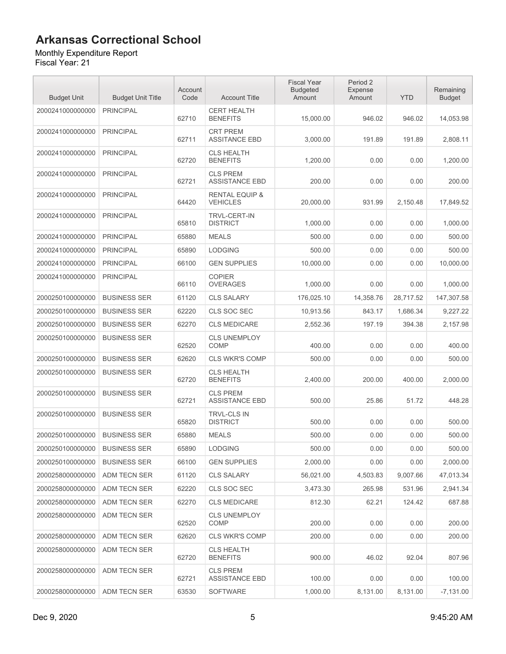Monthly Expenditure Report

| <b>Budget Unit</b> | <b>Budget Unit Title</b> | Account<br>Code | <b>Account Title</b>                         | <b>Fiscal Year</b><br><b>Budgeted</b><br>Amount | Period 2<br>Expense<br>Amount | <b>YTD</b> | Remaining<br><b>Budget</b> |
|--------------------|--------------------------|-----------------|----------------------------------------------|-------------------------------------------------|-------------------------------|------------|----------------------------|
| 2000241000000000   | <b>PRINCIPAL</b>         | 62710           | <b>CERT HEALTH</b><br><b>BENEFITS</b>        | 15,000.00                                       | 946.02                        | 946.02     | 14,053.98                  |
| 2000241000000000   | <b>PRINCIPAL</b>         | 62711           | <b>CRT PREM</b><br><b>ASSITANCE EBD</b>      | 3,000.00                                        | 191.89                        | 191.89     | 2,808.11                   |
| 2000241000000000   | <b>PRINCIPAL</b>         | 62720           | <b>CLS HEALTH</b><br><b>BENEFITS</b>         | 1,200.00                                        | 0.00                          | 0.00       | 1,200.00                   |
| 2000241000000000   | <b>PRINCIPAL</b>         | 62721           | <b>CLS PREM</b><br><b>ASSISTANCE EBD</b>     | 200.00                                          | 0.00                          | 0.00       | 200.00                     |
| 2000241000000000   | <b>PRINCIPAL</b>         | 64420           | <b>RENTAL EQUIP &amp;</b><br><b>VEHICLES</b> | 20,000.00                                       | 931.99                        | 2,150.48   | 17,849.52                  |
| 2000241000000000   | <b>PRINCIPAL</b>         | 65810           | <b>TRVL-CERT-IN</b><br><b>DISTRICT</b>       | 1,000.00                                        | 0.00                          | 0.00       | 1,000.00                   |
| 2000241000000000   | <b>PRINCIPAL</b>         | 65880           | <b>MEALS</b>                                 | 500.00                                          | 0.00                          | 0.00       | 500.00                     |
| 2000241000000000   | <b>PRINCIPAL</b>         | 65890           | <b>LODGING</b>                               | 500.00                                          | 0.00                          | 0.00       | 500.00                     |
| 2000241000000000   | <b>PRINCIPAL</b>         | 66100           | <b>GEN SUPPLIES</b>                          | 10.000.00                                       | 0.00                          | 0.00       | 10,000.00                  |
| 2000241000000000   | <b>PRINCIPAL</b>         | 66110           | <b>COPIER</b><br><b>OVERAGES</b>             | 1,000.00                                        | 0.00                          | 0.00       | 1,000.00                   |
| 2000250100000000   | <b>BUSINESS SER</b>      | 61120           | <b>CLS SALARY</b>                            | 176.025.10                                      | 14,358.76                     | 28,717.52  | 147,307.58                 |
| 2000250100000000   | <b>BUSINESS SER</b>      | 62220           | CLS SOC SEC                                  | 10,913.56                                       | 843.17                        | 1,686.34   | 9,227.22                   |
| 2000250100000000   | <b>BUSINESS SER</b>      | 62270           | <b>CLS MEDICARE</b>                          | 2,552.36                                        | 197.19                        | 394.38     | 2,157.98                   |
| 2000250100000000   | <b>BUSINESS SER</b>      | 62520           | <b>CLS UNEMPLOY</b><br><b>COMP</b>           | 400.00                                          | 0.00                          | 0.00       | 400.00                     |
| 2000250100000000   | <b>BUSINESS SER</b>      | 62620           | <b>CLS WKR'S COMP</b>                        | 500.00                                          | 0.00                          | 0.00       | 500.00                     |
| 2000250100000000   | <b>BUSINESS SER</b>      | 62720           | <b>CLS HEALTH</b><br><b>BENEFITS</b>         | 2,400.00                                        | 200.00                        | 400.00     | 2,000.00                   |
| 2000250100000000   | <b>BUSINESS SER</b>      | 62721           | <b>CLS PREM</b><br><b>ASSISTANCE EBD</b>     | 500.00                                          | 25.86                         | 51.72      | 448.28                     |
| 2000250100000000   | <b>BUSINESS SER</b>      | 65820           | <b>TRVL-CLS IN</b><br><b>DISTRICT</b>        | 500.00                                          | 0.00                          | 0.00       | 500.00                     |
| 2000250100000000   | <b>BUSINESS SER</b>      | 65880           | <b>MEALS</b>                                 | 500.00                                          | 0.00                          | 0.00       | 500.00                     |
| 2000250100000000   | <b>BUSINESS SER</b>      | 65890           | <b>LODGING</b>                               | 500.00                                          | 0.00                          | 0.00       | 500.00                     |
| 2000250100000000   | <b>BUSINESS SER</b>      | 66100           | <b>GEN SUPPLIES</b>                          | 2,000.00                                        | 0.00                          | 0.00       | 2,000.00                   |
| 2000258000000000   | ADM TECN SER             | 61120           | <b>CLS SALARY</b>                            | 56,021.00                                       | 4,503.83                      | 9,007.66   | 47,013.34                  |
| 2000258000000000   | ADM TECN SER             | 62220           | CLS SOC SEC                                  | 3,473.30                                        | 265.98                        | 531.96     | 2,941.34                   |
| 2000258000000000   | ADM TECN SER             | 62270           | <b>CLS MEDICARE</b>                          | 812.30                                          | 62.21                         | 124.42     | 687.88                     |
| 2000258000000000   | ADM TECN SER             | 62520           | <b>CLS UNEMPLOY</b><br>COMP                  | 200.00                                          | 0.00                          | 0.00       | 200.00                     |
| 2000258000000000   | ADM TECN SER             | 62620           | <b>CLS WKR'S COMP</b>                        | 200.00                                          | 0.00                          | 0.00       | 200.00                     |
| 2000258000000000   | ADM TECN SER             | 62720           | <b>CLS HEALTH</b><br><b>BENEFITS</b>         | 900.00                                          | 46.02                         | 92.04      | 807.96                     |
| 2000258000000000   | ADM TECN SER             | 62721           | <b>CLS PREM</b><br><b>ASSISTANCE EBD</b>     | 100.00                                          | 0.00                          | 0.00       | 100.00                     |
| 2000258000000000   | ADM TECN SER             | 63530           | SOFTWARE                                     | 1,000.00                                        | 8,131.00                      | 8,131.00   | $-7,131.00$                |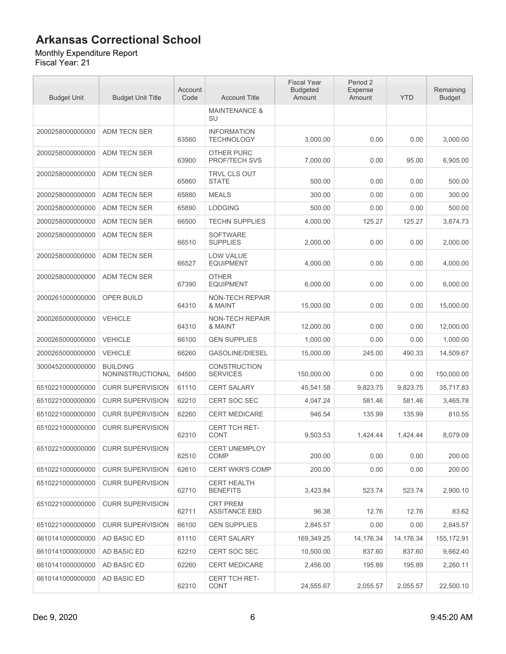#### Monthly Expenditure Report

| <b>Budget Unit</b> | <b>Budget Unit Title</b>            | Account<br>Code | <b>Account Title</b>                    | <b>Fiscal Year</b><br><b>Budgeted</b><br>Amount | Period 2<br>Expense<br>Amount | <b>YTD</b> | Remaining<br><b>Budget</b> |
|--------------------|-------------------------------------|-----------------|-----------------------------------------|-------------------------------------------------|-------------------------------|------------|----------------------------|
|                    |                                     |                 | <b>MAINTENANCE &amp;</b><br>SU          |                                                 |                               |            |                            |
| 2000258000000000   | ADM TECN SER                        | 63560           | <b>INFORMATION</b><br><b>TECHNOLOGY</b> | 3,000.00                                        | 0.00                          | 0.00       | 3,000.00                   |
| 2000258000000000   | ADM TECN SER                        | 63900           | OTHER PURC<br>PROF/TECH SVS             | 7,000.00                                        | 0.00                          | 95.00      | 6,905.00                   |
| 2000258000000000   | ADM TECN SER                        | 65860           | TRVL CLS OUT<br><b>STATE</b>            | 500.00                                          | 0.00                          | 0.00       | 500.00                     |
| 2000258000000000   | <b>ADM TECN SER</b>                 | 65880           | <b>MEALS</b>                            | 300.00                                          | 0.00                          | 0.00       | 300.00                     |
| 2000258000000000   | ADM TECN SER                        | 65890           | <b>LODGING</b>                          | 500.00                                          | 0.00                          | 0.00       | 500.00                     |
| 2000258000000000   | ADM TECN SER                        | 66500           | <b>TECHN SUPPLIES</b>                   | 4,000.00                                        | 125.27                        | 125.27     | 3,874.73                   |
| 2000258000000000   | <b>ADM TECN SER</b>                 | 66510           | <b>SOFTWARE</b><br><b>SUPPLIES</b>      | 2.000.00                                        | 0.00                          | 0.00       | 2,000.00                   |
| 2000258000000000   | <b>ADM TECN SER</b>                 | 66527           | LOW VALUE<br><b>EQUIPMENT</b>           | 4,000.00                                        | 0.00                          | 0.00       | 4,000.00                   |
| 2000258000000000   | <b>ADM TECN SER</b>                 | 67390           | <b>OTHER</b><br><b>EQUIPMENT</b>        | 6,000.00                                        | 0.00                          | 0.00       | 6,000.00                   |
| 2000261000000000   | OPER BUILD                          | 64310           | NON-TECH REPAIR<br>& MAINT              | 15,000.00                                       | 0.00                          | 0.00       | 15,000.00                  |
| 2000265000000000   | <b>VEHICLE</b>                      | 64310           | <b>NON-TECH REPAIR</b><br>& MAINT       | 12,000.00                                       | 0.00                          | 0.00       | 12,000.00                  |
| 2000265000000000   | <b>VEHICLE</b>                      | 66100           | <b>GEN SUPPLIES</b>                     | 1,000.00                                        | 0.00                          | 0.00       | 1,000.00                   |
| 2000265000000000   | <b>VEHICLE</b>                      | 66260           | <b>GASOLINE/DIESEL</b>                  | 15,000.00                                       | 245.00                        | 490.33     | 14,509.67                  |
| 3000452000000000   | <b>BUILDING</b><br>NONINSTRUCTIONAL | 64500           | CONSTRUCTION<br><b>SERVICES</b>         | 150,000.00                                      | 0.00                          | 0.00       | 150,000.00                 |
| 6510221000000000   | <b>CURR SUPERVISION</b>             | 61110           | <b>CERT SALARY</b>                      | 45,541.58                                       | 9,823.75                      | 9,823.75   | 35,717.83                  |
| 6510221000000000   | <b>CURR SUPERVISION</b>             | 62210           | CERT SOC SEC                            | 4,047.24                                        | 581.46                        | 581.46     | 3,465.78                   |
| 6510221000000000   | <b>CURR SUPERVISION</b>             | 62260           | <b>CERT MEDICARE</b>                    | 946.54                                          | 135.99                        | 135.99     | 810.55                     |
| 6510221000000000   | <b>CURR SUPERVISION</b>             | 62310           | CERT TCH RET-<br><b>CONT</b>            | 9,503.53                                        | 1.424.44                      | 1,424.44   | 8,079.09                   |
| 6510221000000000   | CURR SUPERVISION                    | 62510           | CERT UNEMPLOY<br>COMP                   | 200.00                                          | 0.00                          | 0.00       | 200.00                     |
| 6510221000000000   | <b>CURR SUPERVISION</b>             | 62610           | <b>CERT WKR'S COMP</b>                  | 200.00                                          | 0.00                          | 0.00       | 200.00                     |
| 6510221000000000   | <b>CURR SUPERVISION</b>             | 62710           | <b>CERT HEALTH</b><br><b>BENEFITS</b>   | 3,423.84                                        | 523.74                        | 523.74     | 2,900.10                   |
| 6510221000000000   | <b>CURR SUPERVISION</b>             | 62711           | <b>CRT PREM</b><br><b>ASSITANCE EBD</b> | 96.38                                           | 12.76                         | 12.76      | 83.62                      |
| 6510221000000000   | <b>CURR SUPERVISION</b>             | 66100           | <b>GEN SUPPLIES</b>                     | 2,845.57                                        | 0.00                          | 0.00       | 2,845.57                   |
| 6610141000000000   | AD BASIC ED                         | 61110           | CERT SALARY                             | 169,349.25                                      | 14,176.34                     | 14,176.34  | 155, 172.91                |
| 6610141000000000   | AD BASIC ED                         | 62210           | CERT SOC SEC                            | 10,500.00                                       | 837.60                        | 837.60     | 9,662.40                   |
| 6610141000000000   | AD BASIC ED                         | 62260           | <b>CERT MEDICARE</b>                    | 2,456.00                                        | 195.89                        | 195.89     | 2,260.11                   |
| 6610141000000000   | AD BASIC ED                         | 62310           | CERT TCH RET-<br><b>CONT</b>            | 24,555.67                                       | 2,055.57                      | 2,055.57   | 22,500.10                  |